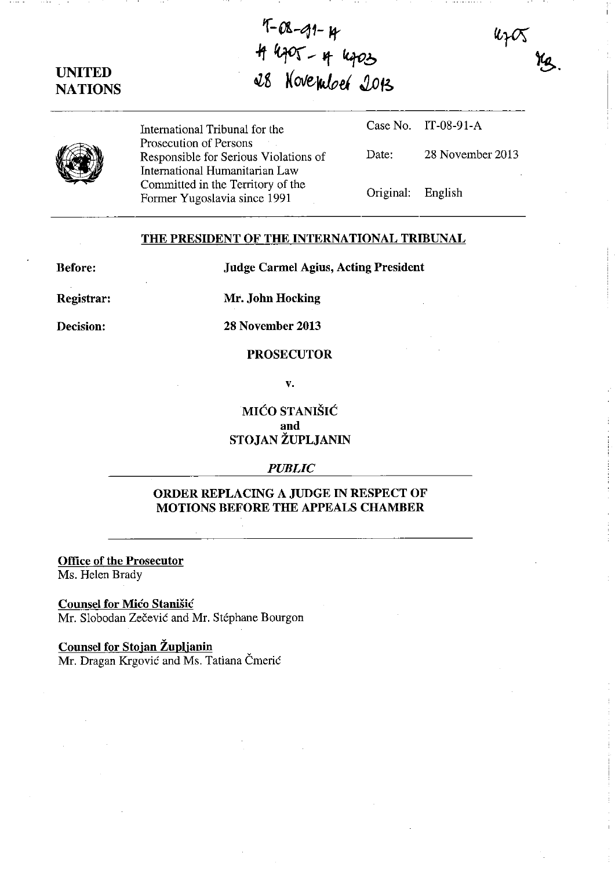# **UNITED NATIONS**

 $1 - 0$  $-9$  $1 - 4$  $T^{*}$   $V^{*}$   $*$   $k_{9}$   $c_{3}$ ~g **/(01fe,\klo#'** ~f~

(9)

International Tribunal for the Prosecution of Persons Responsible for Serious Violations of International Humanitarian Law Committed in the Territory of the Fonner Yugoslavia since 1991

Case No. IT-08-91-A

Date: 28 November 2013

UZC

Original: English

## THE PRESIDENT OF THE INTERNATIONAL TRIBUNAL

Before:

Judge Carmel Agius, Acting President

Registrar:

Mr. John Hocking

Decision:

28 November 2013

#### PROSECUTOR

v.

MIĆO STANIŠIĆ and STOJAN ZUPLJANIN

#### *PUBLIC*

## ORDER REPLACING A JUDGE IN RESPECT OF MOTIONS BEFORE THE APPEALS CHAMBER

Office of the Prosecutor

Ms. Helen Brady

### Counsel for Mico Stanisic

Mr. Slobodan Zečević and Mr. Stéphane Bourgon

### Counsel for Stojan Župljanin

Mr. Dragan Krgović and Ms. Tatiana Čmerić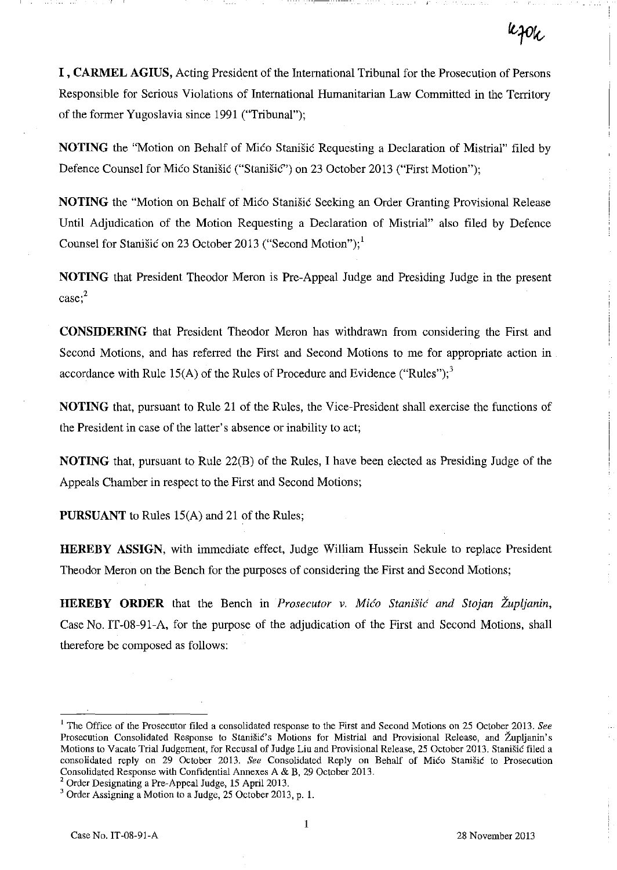I , **CARMEL AGIUS,** Acting President of the International Tribunal for the Prosecution of Persons Responsible for Serious Violations of International Humanitarian Law Committed in the Territory of the former Yugoslavia since 1991 ("Tribunal");

**NOTING** the "Motion on Behalf of Mico Stanistic Requesting a Declaration of Mistrial" filed by Defence Counsel for Mico Stanišic ("Stanišic") on 23 October 2013 ("First Motion");

**NOTING** the "Motion on Behalf of Mico Stanišic Seeking an Order Granting Provisional Release Until Adjudication of the Motion Requesting a Declaration of Mistrial" also filed by Defence Counsel for Stanisic on 23 October 2013 ("Second Motion");<sup>1</sup>

**NOTING** that President Theodor Meron is Pre-Appeal Judge and Presiding Judge in the present **case;2** 

**CONSIDERING** that President Theodor Meron has withdrawn from considering the First and Second Motions, and has referred the First and Second Motions to me for appropriate action in accordance with Rule 15(A) of the Rules of Procedure and Evidence ("Rules");<sup>3</sup>

**NOTING** that, pursuant to Rule 21 of the Rules, the Vice-President shall exercise the functions of the President in case of the latter's absence or inability to act;

**NOTING** that, pursuant to Rule 22(B) of the Rules, I have been elected as Presiding Judge of the Appeals Chamber in respect to the First and Second Motions;

**PURSUANT** to Rules 15(A) and 21 of the Rules;

**HEREBY ASSIGN,** with immediate effect, Judge William Hussein Sekule to replace President Theodor Meron on the Bench for the purposes of considering the First and Second Motions;

**HEREBY ORDER** that the Bench in *Prosecutor* v. *Mico Stanisic and Stojan Zupljanin,*  Case No. IT-08-91-A, for the purpose of the adjudication of the First and Second Motions, shall therefore be composed as follows:

1

<sup>&</sup>lt;sup>1</sup> The Office of the Prosecutor filed a consolidated response to the First and Second Motions on 25 October 2013. See Prosecution Consolidated Response to Stanišić's Motions for Mistrial and Provisional Release, and Župljanin's Motions to Vacate Trial Judgement, for Recusal of Judge Liu and Provisional Release, 25 October 2013. Stanišić filed a consolidated reply on 29 October 2013. See Consolidated Reply on Behalf of Mico Stanišic to Prosecution Consolidated Response with Confidential Annexes A & B, 29 October 2013.

<sup>&</sup>lt;sup>2</sup> Order Designating a Pre-Appeal Judge, 15 April 2013.

<sup>3</sup> Order Assigning a Motion to a Judge, 25 October 2013, p. 1.